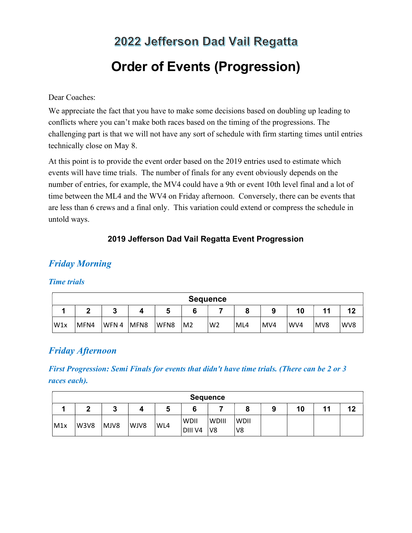# 2022 Jefferson Dad Vail Regatta Order of Events (Progression)

#### Dear Coaches:

We appreciate the fact that you have to make some decisions based on doubling up leading to conflicts where you can't make both races based on the timing of the progressions. The challenging part is that we will not have any sort of schedule with firm starting times until entries technically close on May 8.

At this point is to provide the event order based on the 2019 entries used to estimate which events will have time trials. The number of finals for any event obviously depends on the number of entries, for example, the MV4 could have a 9th or event 10th level final and a lot of time between the ML4 and the WV4 on Friday afternoon. Conversely, there can be events that are less than 6 crews and a final only. This variation could extend or compress the schedule in untold ways.

### 2019 Jefferson Dad Vail Regatta Event Progression

# Friday Morning

#### Time trials

| <b>Sequence</b> |        |        |      |      |                |                |     |     |     |     |     |
|-----------------|--------|--------|------|------|----------------|----------------|-----|-----|-----|-----|-----|
|                 | c<br>- | n<br>u |      | э    | 6              |                |     |     | 10  |     | 12  |
| W <sub>1x</sub> | MFN4   | WFN4   | MFN8 | WFN8 | M <sub>2</sub> | W <sub>2</sub> | ML4 | MV4 | WV4 | MV8 | WV8 |

## Friday Afternoon

First Progression: Semi Finals for events that didn't have time trials. (There can be 2 or 3 races each).

|     | <b>Sequence</b> |      |      |     |                 |                    |                   |   |    |    |  |  |
|-----|-----------------|------|------|-----|-----------------|--------------------|-------------------|---|----|----|--|--|
|     | -<br>-          | m    |      |     |                 |                    |                   | ο | 10 | 11 |  |  |
| M1x | <b>W3V8</b>     | MJV8 | WJV8 | WL4 | WDII<br>DIII V4 | <b>WDIII</b><br>V8 | <b>WDII</b><br>V8 |   |    |    |  |  |